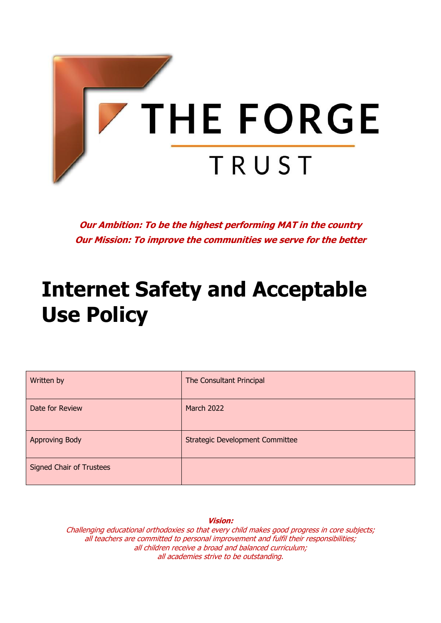

**Our Ambition: To be the highest performing MAT in the country Our Mission: To improve the communities we serve for the better**

# **Internet Safety and Acceptable Use Policy**

| Written by                      | The Consultant Principal               |
|---------------------------------|----------------------------------------|
| Date for Review                 | <b>March 2022</b>                      |
| <b>Approving Body</b>           | <b>Strategic Development Committee</b> |
| <b>Signed Chair of Trustees</b> |                                        |

**Vision:**

Challenging educational orthodoxies so that every child makes good progress in core subjects; all teachers are committed to personal improvement and fulfil their responsibilities; all children receive a broad and balanced curriculum; all academies strive to be outstanding.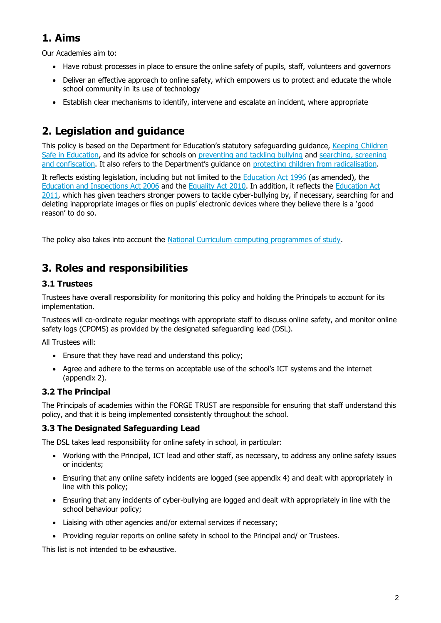# **1. Aims**

Our Academies aim to:

- Have robust processes in place to ensure the online safety of pupils, staff, volunteers and governors
- Deliver an effective approach to online safety, which empowers us to protect and educate the whole school community in its use of technology
- Establish clear mechanisms to identify, intervene and escalate an incident, where appropriate

# **2. Legislation and guidance**

This policy is based on the Department for Education's statutory safeguarding guidance, [Keeping Children](https://www.gov.uk/government/publications/keeping-children-safe-in-education--2)  [Safe in Education,](https://www.gov.uk/government/publications/keeping-children-safe-in-education--2) and its advice for schools on [preventing and tackling bullying](https://www.gov.uk/government/publications/preventing-and-tackling-bullying) and searching, screening [and confiscation](https://www.gov.uk/government/publications/searching-screening-and-confiscation). It also refers to the Department's guidance on protecting children [from radicalisation.](https://www.gov.uk/government/publications/protecting-children-from-radicalisation-the-prevent-duty)

It reflects existing legislation, including but not limited to the [Education Act 1996](https://www.legislation.gov.uk/ukpga/1996/56/contents) (as amended), the [Education and Inspections Act 2006](https://www.legislation.gov.uk/ukpga/2006/40/contents) and the [Equality Act 2010.](https://www.legislation.gov.uk/ukpga/2010/15/contents) In addition, it reflects the [Education Act](http://www.legislation.gov.uk/ukpga/2011/21/contents/enacted)  [2011,](http://www.legislation.gov.uk/ukpga/2011/21/contents/enacted) which has given teachers stronger powers to tackle cyber-bullying by, if necessary, searching for and deleting inappropriate images or files on pupils' electronic devices where they believe there is a 'good reason' to do so.

The policy also takes into account the [National Curriculum computing programmes of study.](https://www.gov.uk/government/publications/national-curriculum-in-england-computing-programmes-of-study)

# **3. Roles and responsibilities**

## **3.1 Trustees**

Trustees have overall responsibility for monitoring this policy and holding the Principals to account for its implementation.

Trustees will co-ordinate regular meetings with appropriate staff to discuss online safety, and monitor online safety logs (CPOMS) as provided by the designated safeguarding lead (DSL).

All Trustees will:

- Ensure that they have read and understand this policy;
- Agree and adhere to the terms on acceptable use of the school's ICT systems and the internet (appendix 2).

## **3.2 The Principal**

The Principals of academies within the FORGE TRUST are responsible for ensuring that staff understand this policy, and that it is being implemented consistently throughout the school.

## **3.3 The Designated Safeguarding Lead**

The DSL takes lead responsibility for online safety in school, in particular:

- Working with the Principal, ICT lead and other staff, as necessary, to address any online safety issues or incidents;
- Ensuring that any online safety incidents are logged (see appendix 4) and dealt with appropriately in line with this policy;
- Ensuring that any incidents of cyber-bullying are logged and dealt with appropriately in line with the school behaviour policy;
- Liaising with other agencies and/or external services if necessary;
- Providing regular reports on online safety in school to the Principal and/ or Trustees.

This list is not intended to be exhaustive.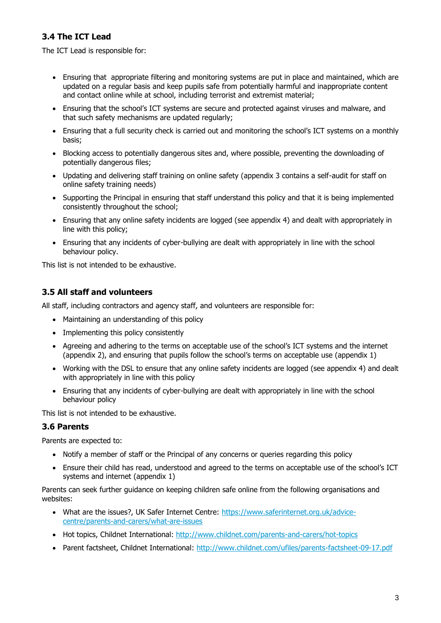## **3.4 The ICT Lead**

The ICT Lead is responsible for:

- Ensuring that appropriate filtering and monitoring systems are put in place and maintained, which are updated on a regular basis and keep pupils safe from potentially harmful and inappropriate content and contact online while at school, including terrorist and extremist material;
- Ensuring that the school's ICT systems are secure and protected against viruses and malware, and that such safety mechanisms are updated regularly;
- Ensuring that a full security check is carried out and monitoring the school's ICT systems on a monthly basis;
- Blocking access to potentially dangerous sites and, where possible, preventing the downloading of potentially dangerous files;
- Updating and delivering staff training on online safety (appendix 3 contains a self-audit for staff on online safety training needs)
- Supporting the Principal in ensuring that staff understand this policy and that it is being implemented consistently throughout the school;
- Ensuring that any online safety incidents are logged (see appendix 4) and dealt with appropriately in line with this policy;
- Ensuring that any incidents of cyber-bullying are dealt with appropriately in line with the school behaviour policy.

This list is not intended to be exhaustive.

## **3.5 All staff and volunteers**

All staff, including contractors and agency staff, and volunteers are responsible for:

- Maintaining an understanding of this policy
- Implementing this policy consistently
- Agreeing and adhering to the terms on acceptable use of the school's ICT systems and the internet (appendix 2), and ensuring that pupils follow the school's terms on acceptable use (appendix 1)
- Working with the DSL to ensure that any online safety incidents are logged (see appendix 4) and dealt with appropriately in line with this policy
- Ensuring that any incidents of cyber-bullying are dealt with appropriately in line with the school behaviour policy

This list is not intended to be exhaustive.

## **3.6 Parents**

Parents are expected to:

- Notify a member of staff or the Principal of any concerns or queries regarding this policy
- Ensure their child has read, understood and agreed to the terms on acceptable use of the school's ICT systems and internet (appendix 1)

Parents can seek further guidance on keeping children safe online from the following organisations and websites:

- What are the issues?, UK Safer Internet Centre: [https://www.saferinternet.org.uk/advice](https://www.saferinternet.org.uk/advice-centre/parents-and-carers/what-are-issues)[centre/parents-and-carers/what-are-issues](https://www.saferinternet.org.uk/advice-centre/parents-and-carers/what-are-issues)
- Hot topics, Childnet International:<http://www.childnet.com/parents-and-carers/hot-topics>
- Parent factsheet, Childnet International:<http://www.childnet.com/ufiles/parents-factsheet-09-17.pdf>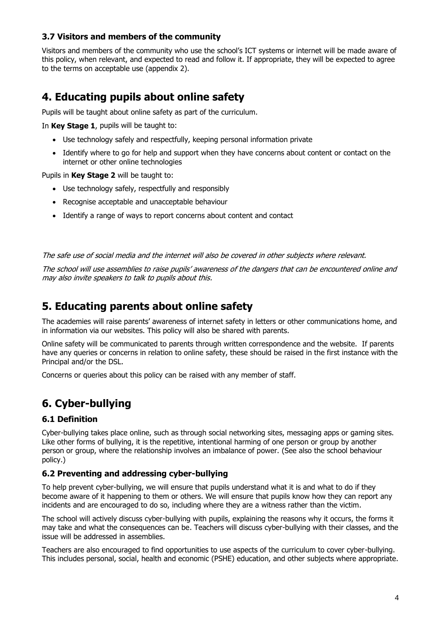## **3.7 Visitors and members of the community**

Visitors and members of the community who use the school's ICT systems or internet will be made aware of this policy, when relevant, and expected to read and follow it. If appropriate, they will be expected to agree to the terms on acceptable use (appendix 2).

# **4. Educating pupils about online safety**

Pupils will be taught about online safety as part of the curriculum.

In **Key Stage 1**, pupils will be taught to:

- Use technology safely and respectfully, keeping personal information private
- Identify where to go for help and support when they have concerns about content or contact on the internet or other online technologies

Pupils in **Key Stage 2** will be taught to:

- Use technology safely, respectfully and responsibly
- Recognise acceptable and unacceptable behaviour
- Identify a range of ways to report concerns about content and contact

#### The safe use of social media and the internet will also be covered in other subjects where relevant.

The school will use assemblies to raise pupils' awareness of the dangers that can be encountered online and may also invite speakers to talk to pupils about this.

# **5. Educating parents about online safety**

The academies will raise parents' awareness of internet safety in letters or other communications home, and in information via our websites. This policy will also be shared with parents.

Online safety will be communicated to parents through written correspondence and the website. If parents have any queries or concerns in relation to online safety, these should be raised in the first instance with the Principal and/or the DSL.

Concerns or queries about this policy can be raised with any member of staff.

# **6. Cyber-bullying**

## **6.1 Definition**

Cyber-bullying takes place online, such as through social networking sites, messaging apps or gaming sites. Like other forms of bullying, it is the repetitive, intentional harming of one person or group by another person or group, where the relationship involves an imbalance of power. (See also the school behaviour policy.)

#### **6.2 Preventing and addressing cyber-bullying**

To help prevent cyber-bullying, we will ensure that pupils understand what it is and what to do if they become aware of it happening to them or others. We will ensure that pupils know how they can report any incidents and are encouraged to do so, including where they are a witness rather than the victim.

The school will actively discuss cyber-bullying with pupils, explaining the reasons why it occurs, the forms it may take and what the consequences can be. Teachers will discuss cyber-bullying with their classes, and the issue will be addressed in assemblies.

Teachers are also encouraged to find opportunities to use aspects of the curriculum to cover cyber-bullying. This includes personal, social, health and economic (PSHE) education, and other subjects where appropriate.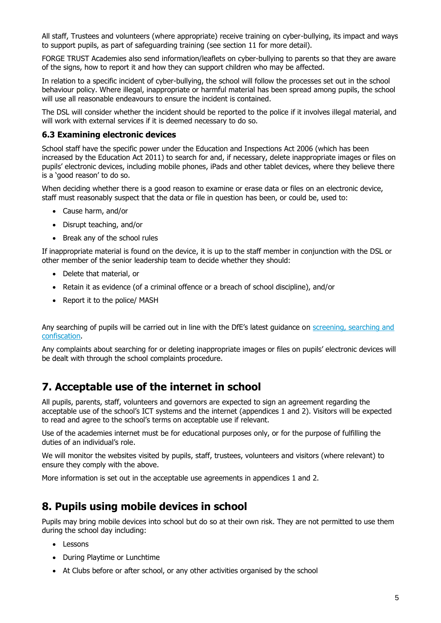All staff, Trustees and volunteers (where appropriate) receive training on cyber-bullying, its impact and ways to support pupils, as part of safeguarding training (see section 11 for more detail).

FORGE TRUST Academies also send information/leaflets on cyber-bullying to parents so that they are aware of the signs, how to report it and how they can support children who may be affected.

In relation to a specific incident of cyber-bullying, the school will follow the processes set out in the school behaviour policy. Where illegal, inappropriate or harmful material has been spread among pupils, the school will use all reasonable endeavours to ensure the incident is contained.

The DSL will consider whether the incident should be reported to the police if it involves illegal material, and will work with external services if it is deemed necessary to do so.

#### **6.3 Examining electronic devices**

School staff have the specific power under the Education and Inspections Act 2006 (which has been increased by the Education Act 2011) to search for and, if necessary, delete inappropriate images or files on pupils' electronic devices, including mobile phones, iPads and other tablet devices, where they believe there is a 'good reason' to do so.

When deciding whether there is a good reason to examine or erase data or files on an electronic device, staff must reasonably suspect that the data or file in question has been, or could be, used to:

- Cause harm, and/or
- Disrupt teaching, and/or
- Break any of the school rules

If inappropriate material is found on the device, it is up to the staff member in conjunction with the DSL or other member of the senior leadership team to decide whether they should:

- Delete that material, or
- Retain it as evidence (of a criminal offence or a breach of school discipline), and/or
- Report it to the police/ MASH

Any searching of pupils will be carried out in line with the DfE's latest guidance on screening, searching and [confiscation.](https://www.gov.uk/government/publications/searching-screening-and-confiscation)

Any complaints about searching for or deleting inappropriate images or files on pupils' electronic devices will be dealt with through the school complaints procedure.

# **7. Acceptable use of the internet in school**

All pupils, parents, staff, volunteers and governors are expected to sign an agreement regarding the acceptable use of the school's ICT systems and the internet (appendices 1 and 2). Visitors will be expected to read and agree to the school's terms on acceptable use if relevant.

Use of the academies internet must be for educational purposes only, or for the purpose of fulfilling the duties of an individual's role.

We will monitor the websites visited by pupils, staff, trustees, volunteers and visitors (where relevant) to ensure they comply with the above.

More information is set out in the acceptable use agreements in appendices 1 and 2.

## **8. Pupils using mobile devices in school**

Pupils may bring mobile devices into school but do so at their own risk. They are not permitted to use them during the school day including:

- Lessons
- During Playtime or Lunchtime
- At Clubs before or after school, or any other activities organised by the school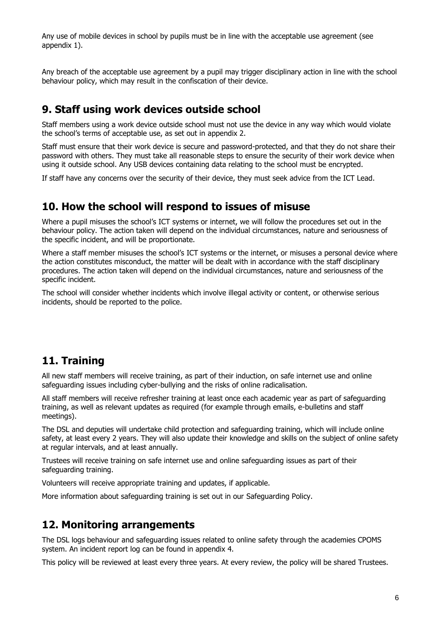Any use of mobile devices in school by pupils must be in line with the acceptable use agreement (see appendix 1).

Any breach of the acceptable use agreement by a pupil may trigger disciplinary action in line with the school behaviour policy, which may result in the confiscation of their device.

# **9. Staff using work devices outside school**

Staff members using a work device outside school must not use the device in any way which would violate the school's terms of acceptable use, as set out in appendix 2.

Staff must ensure that their work device is secure and password-protected, and that they do not share their password with others. They must take all reasonable steps to ensure the security of their work device when using it outside school. Any USB devices containing data relating to the school must be encrypted.

If staff have any concerns over the security of their device, they must seek advice from the ICT Lead.

## **10. How the school will respond to issues of misuse**

Where a pupil misuses the school's ICT systems or internet, we will follow the procedures set out in the behaviour policy. The action taken will depend on the individual circumstances, nature and seriousness of the specific incident, and will be proportionate.

Where a staff member misuses the school's ICT systems or the internet, or misuses a personal device where the action constitutes misconduct, the matter will be dealt with in accordance with the staff disciplinary procedures. The action taken will depend on the individual circumstances, nature and seriousness of the specific incident.

The school will consider whether incidents which involve illegal activity or content, or otherwise serious incidents, should be reported to the police.

# **11. Training**

All new staff members will receive training, as part of their induction, on safe internet use and online safeguarding issues including cyber-bullying and the risks of online radicalisation.

All staff members will receive refresher training at least once each academic year as part of safeguarding training, as well as relevant updates as required (for example through emails, e-bulletins and staff meetings).

The DSL and deputies will undertake child protection and safeguarding training, which will include online safety, at least every 2 years. They will also update their knowledge and skills on the subject of online safety at regular intervals, and at least annually.

Trustees will receive training on safe internet use and online safeguarding issues as part of their safeguarding training.

Volunteers will receive appropriate training and updates, if applicable.

More information about safeguarding training is set out in our Safeguarding Policy.

# **12. Monitoring arrangements**

The DSL logs behaviour and safeguarding issues related to online safety through the academies CPOMS system. An incident report log can be found in appendix 4.

This policy will be reviewed at least every three years. At every review, the policy will be shared Trustees.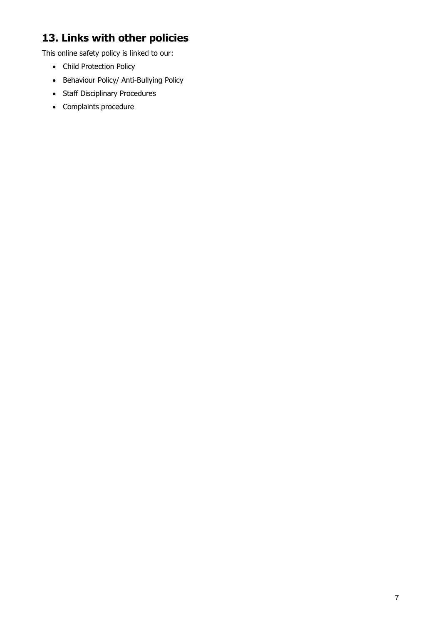# **13. Links with other policies**

This online safety policy is linked to our:

- Child Protection Policy
- Behaviour Policy/ Anti-Bullying Policy
- Staff Disciplinary Procedures
- Complaints procedure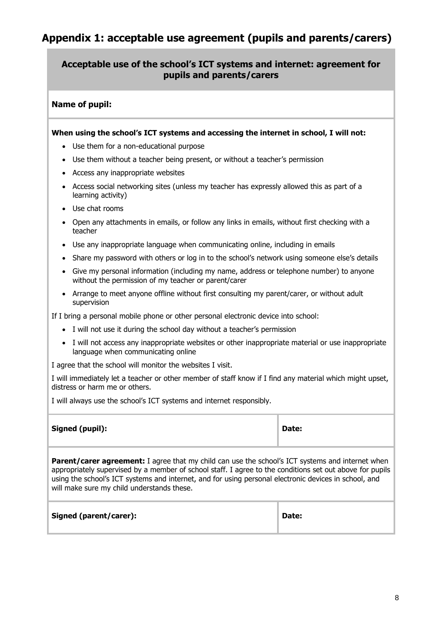# **Appendix 1: acceptable use agreement (pupils and parents/carers)**

## **Acceptable use of the school's ICT systems and internet: agreement for pupils and parents/carers**

#### **Name of pupil:**

#### **When using the school's ICT systems and accessing the internet in school, I will not:**

- Use them for a non-educational purpose
- Use them without a teacher being present, or without a teacher's permission
- Access any inappropriate websites
- Access social networking sites (unless my teacher has expressly allowed this as part of a learning activity)
- Use chat rooms
- Open any attachments in emails, or follow any links in emails, without first checking with a teacher
- Use any inappropriate language when communicating online, including in emails
- Share my password with others or log in to the school's network using someone else's details
- Give my personal information (including my name, address or telephone number) to anyone without the permission of my teacher or parent/carer
- Arrange to meet anyone offline without first consulting my parent/carer, or without adult supervision

If I bring a personal mobile phone or other personal electronic device into school:

- I will not use it during the school day without a teacher's permission
- I will not access any inappropriate websites or other inappropriate material or use inappropriate language when communicating online

I agree that the school will monitor the websites I visit.

I will immediately let a teacher or other member of staff know if I find any material which might upset, distress or harm me or others.

I will always use the school's ICT systems and internet responsibly.

| Signed (pupil):                                                                                                                                                                                                                                                                                                                                                            | Date: |  |
|----------------------------------------------------------------------------------------------------------------------------------------------------------------------------------------------------------------------------------------------------------------------------------------------------------------------------------------------------------------------------|-------|--|
| <b>Parent/carer agreement:</b> I agree that my child can use the school's ICT systems and internet when<br>appropriately supervised by a member of school staff. I agree to the conditions set out above for pupils<br>using the school's ICT systems and internet, and for using personal electronic devices in school, and<br>will make sure my child understands these. |       |  |

| Signed (parent/carer): | Date: |
|------------------------|-------|
|------------------------|-------|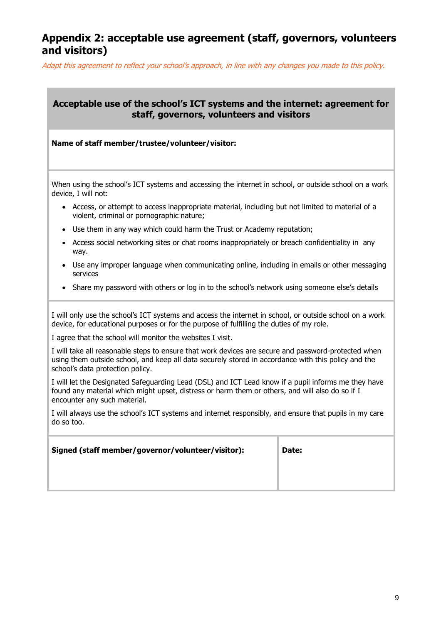# **Appendix 2: acceptable use agreement (staff, governors, volunteers and visitors)**

Adapt this agreement to reflect your school's approach, in line with any changes you made to this policy.

## **Acceptable use of the school's ICT systems and the internet: agreement for staff, governors, volunteers and visitors**

#### **Name of staff member/trustee/volunteer/visitor:**

When using the school's ICT systems and accessing the internet in school, or outside school on a work device, I will not:

- Access, or attempt to access inappropriate material, including but not limited to material of a violent, criminal or pornographic nature;
- Use them in any way which could harm the Trust or Academy reputation;
- Access social networking sites or chat rooms inappropriately or breach confidentiality in any way.
- Use any improper language when communicating online, including in emails or other messaging services
- Share my password with others or log in to the school's network using someone else's details

I will only use the school's ICT systems and access the internet in school, or outside school on a work device, for educational purposes or for the purpose of fulfilling the duties of my role.

I agree that the school will monitor the websites I visit.

I will take all reasonable steps to ensure that work devices are secure and password-protected when using them outside school, and keep all data securely stored in accordance with this policy and the school's data protection policy.

I will let the Designated Safeguarding Lead (DSL) and ICT Lead know if a pupil informs me they have found any material which might upset, distress or harm them or others, and will also do so if I encounter any such material.

I will always use the school's ICT systems and internet responsibly, and ensure that pupils in my care do so too.

| Signed (staff member/governor/volunteer/visitor): | Date: |
|---------------------------------------------------|-------|
|                                                   |       |